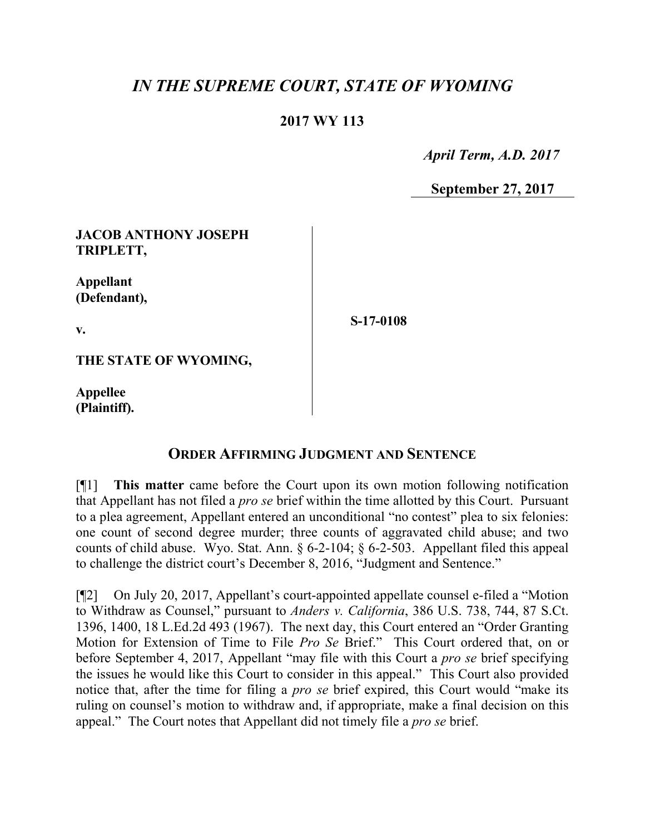# *IN THE SUPREME COURT, STATE OF WYOMING*

# **2017 WY 113**

 *April Term, A.D. 2017*

**September 27, 2017**

# **JACOB ANTHONY JOSEPH TRIPLETT,**

**Appellant (Defendant),**

**v.**

**S-17-0108**

**THE STATE OF WYOMING,**

**Appellee (Plaintiff).**

### **ORDER AFFIRMING JUDGMENT AND SENTENCE**

[¶1] **This matter** came before the Court upon its own motion following notification that Appellant has not filed a *pro se* brief within the time allotted by this Court. Pursuant to a plea agreement, Appellant entered an unconditional "no contest" plea to six felonies: one count of second degree murder; three counts of aggravated child abuse; and two counts of child abuse. Wyo. Stat. Ann. § 6-2-104; § 6-2-503. Appellant filed this appeal to challenge the district court's December 8, 2016, "Judgment and Sentence."

[¶2] On July 20, 2017, Appellant's court-appointed appellate counsel e-filed a "Motion to Withdraw as Counsel," pursuant to *Anders v. California*, 386 U.S. 738, 744, 87 S.Ct. 1396, 1400, 18 L.Ed.2d 493 (1967). The next day, this Court entered an "Order Granting Motion for Extension of Time to File *Pro Se* Brief." This Court ordered that, on or before September 4, 2017, Appellant "may file with this Court a *pro se* brief specifying the issues he would like this Court to consider in this appeal." This Court also provided notice that, after the time for filing a *pro se* brief expired, this Court would "make its ruling on counsel's motion to withdraw and, if appropriate, make a final decision on this appeal." The Court notes that Appellant did not timely file a *pro se* brief.